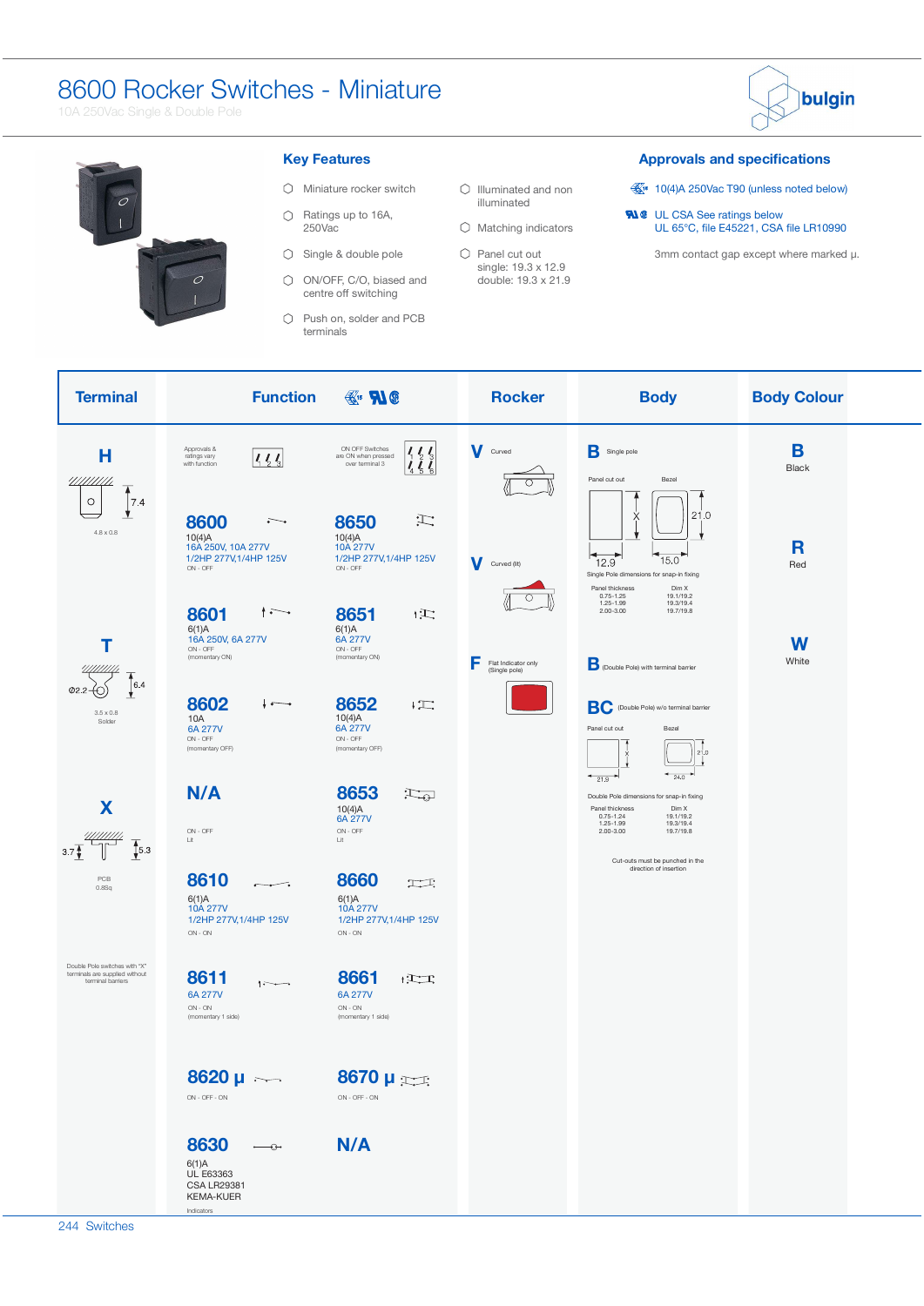# 8600 Rocker Switches - Miniature

10A 250Vac Single & Double Pole





## **Key Features**

Push on, solder and PCB terminals

#### **Approvals and specifications**

- $\frac{11}{200}$  10(4)A 250Vac T90 (unless noted below)
- UL CSA See ratings below UL  $65^{\circ}$ C, file E45221, CSA file LR10990

3mm contact gap except where marked μ.

| <b>Terminal</b>                                                                      | <b>Function</b>                                                                                            | $\mathbb{R}^n$ <b>N</b> $\mathbf{0}$                                                       | <b>Rocker</b>                             | <b>Body</b>                                                                                                                                                                                               | <b>Body Colour</b> |
|--------------------------------------------------------------------------------------|------------------------------------------------------------------------------------------------------------|--------------------------------------------------------------------------------------------|-------------------------------------------|-----------------------------------------------------------------------------------------------------------------------------------------------------------------------------------------------------------|--------------------|
| Н<br>/////////<br>٨                                                                  | Approvals &<br>ratings vary<br>1/4<br>with function                                                        | ON OFF Switches<br>are ON when pressed<br>over terminal 3<br>$\mathcal{L}_{\mathcal{L}}$   | V Curved                                  | <b>B</b> Single pole<br>Panel cut out<br>Bezel                                                                                                                                                            | B<br><b>Black</b>  |
| 7.4<br>$\circ$<br>۷<br>$4.8 \times 0.8$                                              | 8600<br>È.<br>10(4)A<br>16A 250V, 10A 277V<br>1/2HP 277V, 1/4HP 125V<br>ON - OFF                           | H.<br>8650<br>10(4)A<br>10A 277V<br>1/2HP 277V, 1/4HP 125V<br>ON - OFF                     | Curved (lit)                              | 21.0<br>X<br>15.0<br>12.9<br>Single Pole dimensions for snap-in fixing<br>Panel thickness<br>Dim X                                                                                                        | R<br>Red           |
| т<br>6.4                                                                             | $\sim$<br>8601<br>6(1)A<br>16A 250V, 6A 277V<br>ON - OFF<br>(momentary ON)                                 | 8651<br>$\mathbb{R}^+$<br>6(1)A<br>6A 277V<br>ON - OFF<br>(momentary ON)                   | F<br>Flat Indicator only<br>(Single pole) | 19.1/19.2<br>$0.75 - 1.25$<br>1.25-1.99<br>19.3/19.4<br>$2.00 - 3.00$<br>19.7/19.8<br>D (Double Pole) with terminal barrier                                                                               | W<br>White         |
| $3.5\times0.8$<br>Solder                                                             | 8602<br>10A<br>6A 277V<br>ON - OFF<br>(momentary OFF)                                                      | 8652<br>$\sqrt{2}$<br>10(4)A<br>6A 277V<br>ON - OFF<br>(momentary OFF)                     |                                           | <b>BC</b> (Double Pole) w/o terminal barrier<br>Panel cut out<br>Bezel<br>21.0<br>$^{24.0}$                                                                                                               |                    |
| X<br>$\frac{4}{3}$ 5.3<br>3.7 <sup>4</sup>                                           | N/A<br>ON - OFF<br>Lit                                                                                     | 8653<br>$\mathbb{H}_{\oplus}$<br>10(4)A<br>6A 277V<br>ON - OFF<br>Lit                      |                                           | $+21.9$<br>Double Pole dimensions for snap-in fixing<br>Panel thickness<br>Dim X<br>19.1/19.2<br>$0.75 - 1.24$<br>1.25-1.99<br>19.3/19.4<br>$2.00 - 3.00$<br>19.7/19.8<br>Cut-outs must be punched in the |                    |
| PCB<br>0.8Sq                                                                         | 8610<br>6(1)A<br>10A 277V<br>1/2HP 277V, 1/4HP 125V<br>$\mathsf{ON}\cdot\mathsf{ON}$                       | 8660<br>工工<br>6(1)A<br>10A 277V<br>1/2HP 277V, 1/4HP 125V<br>$\mathsf{ON}\cdot\mathsf{ON}$ |                                           | direction of insertion                                                                                                                                                                                    |                    |
| Double Pole switches with "X"<br>terminals are supplied without<br>terminal barriers | 8611<br>$\cdots$<br>6A 277V<br>$ON - ON$<br>(momentary 1 side)                                             | 8661<br>$\frac{1}{2}$<br>6A 277V<br>$\mathsf{ON}\cdot\mathsf{ON}$<br>(momentary 1 side)    |                                           |                                                                                                                                                                                                           |                    |
|                                                                                      | $8620 \mu \sim$<br>ON - OFF - ON                                                                           | $8670 \mu$<br>ON - OFF - ON                                                                |                                           |                                                                                                                                                                                                           |                    |
|                                                                                      | 8630<br>$\rightarrow$<br>6(1)A<br><b>UL E63363</b><br><b>CSA LR29381</b><br><b>KEMA-KUER</b><br>Indicators | N/A                                                                                        |                                           |                                                                                                                                                                                                           |                    |

 $\circlearrowright$  Illuminated and non illuminated  $\bigcirc$  Matching indicators Panel cut out single: 19.3 x 12.9 double: 19.3 x 21.9